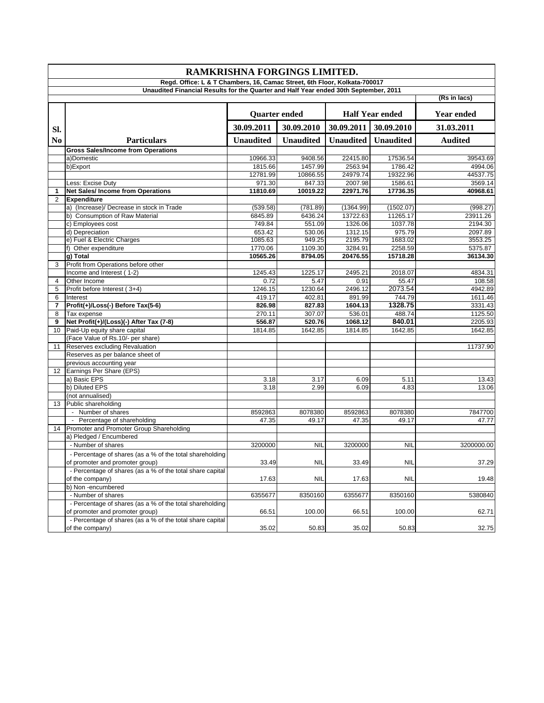| RAMKRISHNA FORGINGS LIMITED.                                                         |                                                           |                                                |                  |                  |                   |              |  |  |  |  |
|--------------------------------------------------------------------------------------|-----------------------------------------------------------|------------------------------------------------|------------------|------------------|-------------------|--------------|--|--|--|--|
| Regd. Office: L & T Chambers, 16, Camac Street, 6th Floor, Kolkata-700017            |                                                           |                                                |                  |                  |                   |              |  |  |  |  |
| Unaudited Financial Results for the Quarter and Half Year ended 30th September, 2011 |                                                           |                                                |                  |                  |                   |              |  |  |  |  |
|                                                                                      |                                                           |                                                |                  |                  |                   | (Rs in lacs) |  |  |  |  |
|                                                                                      |                                                           | <b>Half Year ended</b><br><b>Quarter ended</b> |                  |                  | <b>Year ended</b> |              |  |  |  |  |
| SI.                                                                                  |                                                           | 30.09.2011                                     | 30.09.2010       | 30.09.2011       | 30.09.2010        | 31.03.2011   |  |  |  |  |
| No.                                                                                  | <b>Particulars</b>                                        | <b>Unaudited</b>                               | <b>Unaudited</b> | <b>Unaudited</b> | <b>Unaudited</b>  | Audited      |  |  |  |  |
|                                                                                      | <b>Gross Sales/Income from Operations</b>                 |                                                |                  |                  |                   |              |  |  |  |  |
|                                                                                      | a)Domestic                                                | 10966.33                                       | 9408.56          | 22415.80         | 17536.54          | 39543.69     |  |  |  |  |
|                                                                                      | b)Export                                                  | 1815.66                                        | 1457.99          | 2563.94          | 1786.42           | 4994.06      |  |  |  |  |
|                                                                                      |                                                           | 12781.99                                       | 10866.55         | 24979.74         | 19322.96          | 44537.75     |  |  |  |  |
|                                                                                      | Less: Excise Duty                                         | 971.30                                         | 847.33           | 2007.98          | 1586.61           | 3569.14      |  |  |  |  |
| $\mathbf 1$                                                                          | <b>Net Sales/Income from Operations</b>                   | 11810.69                                       | 10019.22         | 22971.76         | 17736.35          | 40968.61     |  |  |  |  |
| 2                                                                                    | <b>Expenditure</b>                                        |                                                |                  |                  |                   |              |  |  |  |  |
|                                                                                      | a) (Increase)/ Decrease in stock in Trade                 | (539.58)                                       | (781.89)         | (1364.99)        | (1502.07)         | (998.27)     |  |  |  |  |
|                                                                                      | b) Consumption of Raw Material                            | 6845.89                                        | 6436.24          | 13722.63         | 11265.17          | 23911.26     |  |  |  |  |
|                                                                                      | c) Employees cost                                         | 749.84                                         | 551.09           | 1326.06          | 1037.78           | 2194.30      |  |  |  |  |
|                                                                                      | d) Depreciation                                           | 653.42                                         | 530.06           | 1312.15          | 975.79            | 2097.89      |  |  |  |  |
|                                                                                      | e) Fuel & Electric Charges                                | 1085.63                                        | 949.25           | 2195.79          | 1683.02           | 3553.25      |  |  |  |  |
|                                                                                      | f) Other expenditure                                      | 1770.06                                        | 1109.30          | 3284.91          | 2258.59           | 5375.87      |  |  |  |  |
|                                                                                      | g) Total                                                  | 10565.26                                       | 8794.05          | 20476.55         | 15718.28          | 36134.30     |  |  |  |  |
| 3                                                                                    | Profit from Operations before other                       |                                                |                  |                  |                   |              |  |  |  |  |
|                                                                                      | Income and Interest (1-2)                                 | 1245.43                                        | 1225.17          | 2495.21          | 2018.07           | 4834.31      |  |  |  |  |
| 4                                                                                    | Other Income                                              | 0.72                                           | 5.47             | 0.91             | 55.47             | 108.58       |  |  |  |  |
| 5                                                                                    | Profit before Interest (3+4)                              | 1246.15                                        | 1230.64          | 2496.12          | 2073.54           | 4942.89      |  |  |  |  |
| 6                                                                                    | Interest                                                  | 419.17                                         | 402.81           | 891.99           | 744.79            | 1611.46      |  |  |  |  |
| 7                                                                                    | Profit(+)/Loss(-) Before Tax(5-6)                         | 826.98                                         | 827.83           | 1604.13          | 1328.75           | 3331.43      |  |  |  |  |
| 8                                                                                    | Tax expense                                               | 270.11                                         | 307.07           | 536.01           | 488.74            | 1125.50      |  |  |  |  |
| 9                                                                                    | Net Profit(+)/(Loss)(-) After Tax (7-8)                   | 556.87                                         | 520.76           | 1068.12          | 840.01            | 2205.93      |  |  |  |  |
| 10                                                                                   | Paid-Up equity share capital                              | 1814.85                                        | 1642.85          | 1814.85          | 1642.85           | 1642.85      |  |  |  |  |
|                                                                                      | (Face Value of Rs.10/- per share)                         |                                                |                  |                  |                   |              |  |  |  |  |
| 11                                                                                   | Reserves excluding Revaluation                            |                                                |                  |                  |                   | 11737.90     |  |  |  |  |
|                                                                                      | Reserves as per balance sheet of                          |                                                |                  |                  |                   |              |  |  |  |  |
|                                                                                      | previous accounting year                                  |                                                |                  |                  |                   |              |  |  |  |  |
| 12                                                                                   | Earnings Per Share (EPS)                                  |                                                |                  |                  |                   |              |  |  |  |  |
|                                                                                      | a) Basic EPS                                              | 3.18                                           | 3.17             | 6.09             | 5.11              | 13.43        |  |  |  |  |
|                                                                                      | b) Diluted EPS                                            | 3.18                                           | 2.99             | 6.09             | 4.83              | 13.06        |  |  |  |  |
|                                                                                      | (not annualised)                                          |                                                |                  |                  |                   |              |  |  |  |  |
| 13                                                                                   | Public shareholding                                       |                                                |                  |                  |                   |              |  |  |  |  |
|                                                                                      | - Number of shares                                        | 8592863                                        | 8078380          | 8592863          | 8078380           | 7847700      |  |  |  |  |
|                                                                                      | - Percentage of shareholding                              | 47.35                                          | 49.17            | 47.35            | 49.17             | 47.77        |  |  |  |  |
| 14                                                                                   | Promoter and Promoter Group Shareholding                  |                                                |                  |                  |                   |              |  |  |  |  |
|                                                                                      | a) Pledged / Encumbered                                   |                                                |                  |                  |                   |              |  |  |  |  |
|                                                                                      | - Number of shares                                        | 3200000                                        | <b>NIL</b>       | 3200000          | <b>NIL</b>        | 3200000.00   |  |  |  |  |
|                                                                                      | - Percentage of shares (as a % of the total shareholding  |                                                |                  |                  |                   |              |  |  |  |  |
|                                                                                      | of promoter and promoter group)                           | 33.49                                          | <b>NIL</b>       | 33.49            | <b>NIL</b>        | 37.29        |  |  |  |  |
|                                                                                      | - Percentage of shares (as a % of the total share capital |                                                |                  |                  |                   |              |  |  |  |  |
|                                                                                      | of the company)                                           | 17.63                                          | <b>NIL</b>       | 17.63            | <b>NIL</b>        | 19.48        |  |  |  |  |
|                                                                                      | b) Non -encumbered                                        |                                                |                  |                  |                   |              |  |  |  |  |
|                                                                                      | - Number of shares                                        | 6355677                                        | 8350160          | 6355677          | 8350160           | 5380840      |  |  |  |  |
|                                                                                      | - Percentage of shares (as a % of the total shareholding  |                                                |                  |                  |                   |              |  |  |  |  |
|                                                                                      | of promoter and promoter group)                           | 66.51                                          | 100.00           | 66.51            | 100.00            | 62.71        |  |  |  |  |
|                                                                                      | - Percentage of shares (as a % of the total share capital |                                                |                  |                  |                   |              |  |  |  |  |
|                                                                                      | of the company)                                           | 35.02                                          | 50.83            | 35.02            | 50.83             | 32.75        |  |  |  |  |